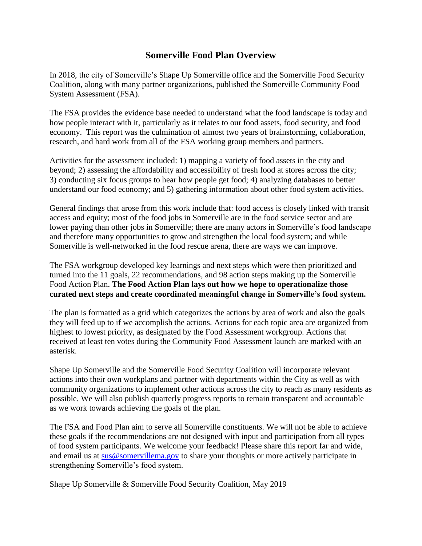## **Somerville Food Plan Overview**

In 2018, the city of Somerville's Shape Up Somerville office and the Somerville Food Security Coalition, along with many partner organizations, published the Somerville Community Food System Assessment (FSA).

The FSA provides the evidence base needed to understand what the food landscape is today and how people interact with it, particularly as it relates to our food assets, food security, and food economy. This report was the culmination of almost two years of brainstorming, collaboration, research, and hard work from all of the FSA working group members and partners.

Activities for the assessment included: 1) mapping a variety of food assets in the city and beyond; 2) assessing the affordability and accessibility of fresh food at stores across the city; 3) conducting six focus groups to hear how people get food; 4) analyzing databases to better understand our food economy; and 5) gathering information about other food system activities.

General findings that arose from this work include that: food access is closely linked with transit access and equity; most of the food jobs in Somerville are in the food service sector and are lower paying than other jobs in Somerville; there are many actors in Somerville's food landscape and therefore many opportunities to grow and strengthen the local food system; and while Somerville is well-networked in the food rescue arena, there are ways we can improve.

The FSA workgroup developed key learnings and next steps which were then prioritized and turned into the 11 goals, 22 recommendations, and 98 action steps making up the Somerville Food Action Plan. **The Food Action Plan lays out how we hope to operationalize those curated next steps and create coordinated meaningful change in Somerville's food system.**

The plan is formatted as a grid which categorizes the actions by area of work and also the goals they will feed up to if we accomplish the actions. Actions for each topic area are organized from highest to lowest priority, as designated by the Food Assessment workgroup. Actions that received at least ten votes during the Community Food Assessment launch are marked with an asterisk.

Shape Up Somerville and the Somerville Food Security Coalition will incorporate relevant actions into their own workplans and partner with departments within the City as well as with community organizations to implement other actions across the city to reach as many residents as possible. We will also publish quarterly progress reports to remain transparent and accountable as we work towards achieving the goals of the plan.

The FSA and Food Plan aim to serve all Somerville constituents. We will not be able to achieve these goals if the recommendations are not designed with input and participation from all types of food system participants. We welcome your feedback! Please share this report far and wide, and email us at [sus@somervillema.gov](mailto:sus@somervillema.gov) to share your thoughts or more actively participate in strengthening Somerville's food system.

Shape Up Somerville & Somerville Food Security Coalition, May 2019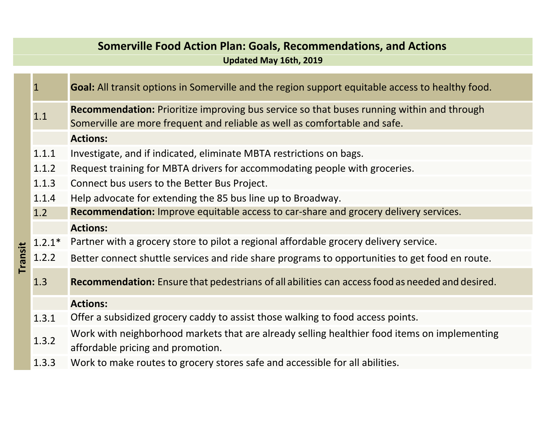## **Somerville Food Action Plan: Goals, Recommendations, and Actions**

**Updated May 16th, 2019**

|         | $\overline{1}$ | <b>Goal:</b> All transit options in Somerville and the region support equitable access to healthy food.                                                                 |
|---------|----------------|-------------------------------------------------------------------------------------------------------------------------------------------------------------------------|
|         | 1.1            | Recommendation: Prioritize improving bus service so that buses running within and through<br>Somerville are more frequent and reliable as well as comfortable and safe. |
|         |                | <b>Actions:</b>                                                                                                                                                         |
|         | 1.1.1          | Investigate, and if indicated, eliminate MBTA restrictions on bags.                                                                                                     |
|         | 1.1.2          | Request training for MBTA drivers for accommodating people with groceries.                                                                                              |
|         | 1.1.3          | Connect bus users to the Better Bus Project.                                                                                                                            |
|         | 1.1.4          | Help advocate for extending the 85 bus line up to Broadway.                                                                                                             |
|         | 1.2            | <b>Recommendation:</b> Improve equitable access to car-share and grocery delivery services.                                                                             |
|         |                | <b>Actions:</b>                                                                                                                                                         |
|         | $1.2.1*$       | Partner with a grocery store to pilot a regional affordable grocery delivery service.                                                                                   |
| Transit | 1.2.2          | Better connect shuttle services and ride share programs to opportunities to get food en route.                                                                          |
|         | 1.3            | <b>Recommendation:</b> Ensure that pedestrians of all abilities can access food as needed and desired.                                                                  |
|         |                | <b>Actions:</b>                                                                                                                                                         |
|         | 1.3.1          | Offer a subsidized grocery caddy to assist those walking to food access points.                                                                                         |
|         | 1.3.2          | Work with neighborhood markets that are already selling healthier food items on implementing<br>affordable pricing and promotion.                                       |
|         | 1.3.3          | Work to make routes to grocery stores safe and accessible for all abilities.                                                                                            |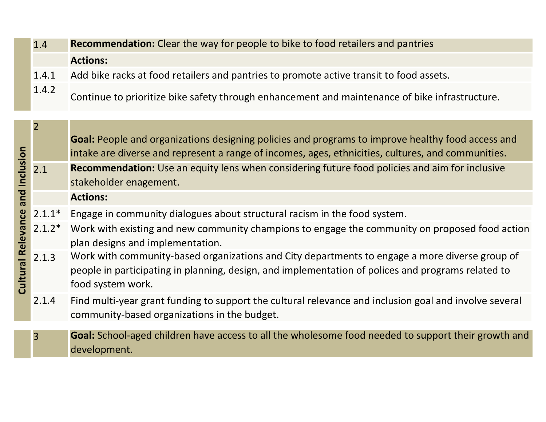| 1.4   | <b>Recommendation:</b> Clear the way for people to bike to food retailers and pantries         |
|-------|------------------------------------------------------------------------------------------------|
|       | <b>Actions:</b>                                                                                |
| 1.4.1 | Add bike racks at food retailers and pantries to promote active transit to food assets.        |
| 1.4.2 | Continue to prioritize bike safety through enhancement and maintenance of bike infrastructure. |

|                                        | $\overline{2}$ | <b>Goal:</b> People and organizations designing policies and programs to improve healthy food access and<br>intake are diverse and represent a range of incomes, ages, ethnicities, cultures, and communities.            |
|----------------------------------------|----------------|---------------------------------------------------------------------------------------------------------------------------------------------------------------------------------------------------------------------------|
| and Inclusion<br>Relevance<br>Cultural | 2.1            | Recommendation: Use an equity lens when considering future food policies and aim for inclusive<br>stakeholder enagement.                                                                                                  |
|                                        |                | <b>Actions:</b>                                                                                                                                                                                                           |
|                                        | $2.1.1*$       | Engage in community dialogues about structural racism in the food system.                                                                                                                                                 |
|                                        | $2.1.2*$       | Work with existing and new community champions to engage the community on proposed food action<br>plan designs and implementation.                                                                                        |
|                                        | 2.1.3          | Work with community-based organizations and City departments to engage a more diverse group of<br>people in participating in planning, design, and implementation of polices and programs related to<br>food system work. |
|                                        | 2.1.4          | Find multi-year grant funding to support the cultural relevance and inclusion goal and involve several<br>community-based organizations in the budget.                                                                    |
|                                        |                | Goal: School-aged children have access to all the wholesome food needed to support their growth and                                                                                                                       |
|                                        | $\overline{3}$ | development.                                                                                                                                                                                                              |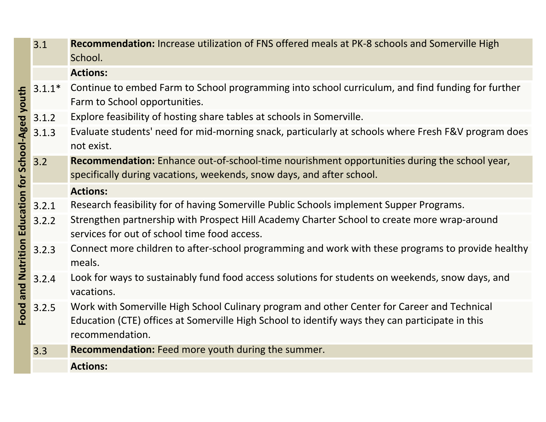|                                               | 3.1      | <b>Recommendation:</b> Increase utilization of FNS offered meals at PK-8 schools and Somerville High<br>School.                                                                                                   |
|-----------------------------------------------|----------|-------------------------------------------------------------------------------------------------------------------------------------------------------------------------------------------------------------------|
|                                               |          | <b>Actions:</b>                                                                                                                                                                                                   |
|                                               | $3.1.1*$ | Continue to embed Farm to School programming into school curriculum, and find funding for further<br>Farm to School opportunities.                                                                                |
|                                               | 3.1.2    | Explore feasibility of hosting share tables at schools in Somerville.                                                                                                                                             |
| and Nutrition Education for School-Aged youth | 3.1.3    | Evaluate students' need for mid-morning snack, particularly at schools where Fresh F&V program does<br>not exist.                                                                                                 |
|                                               | 3.2      | <b>Recommendation:</b> Enhance out-of-school-time nourishment opportunities during the school year,<br>specifically during vacations, weekends, snow days, and after school.                                      |
|                                               |          | <b>Actions:</b>                                                                                                                                                                                                   |
|                                               | 3.2.1    | Research feasibility for of having Somerville Public Schools implement Supper Programs.                                                                                                                           |
|                                               | 3.2.2    | Strengthen partnership with Prospect Hill Academy Charter School to create more wrap-around<br>services for out of school time food access.                                                                       |
|                                               | 3.2.3    | Connect more children to after-school programming and work with these programs to provide healthy<br>meals.                                                                                                       |
|                                               | 3.2.4    | Look for ways to sustainably fund food access solutions for students on weekends, snow days, and<br>vacations.                                                                                                    |
| Food                                          | 3.2.5    | Work with Somerville High School Culinary program and other Center for Career and Technical<br>Education (CTE) offices at Somerville High School to identify ways they can participate in this<br>recommendation. |
|                                               | 3.3      | <b>Recommendation:</b> Feed more youth during the summer.                                                                                                                                                         |
|                                               |          | <b>Actions:</b>                                                                                                                                                                                                   |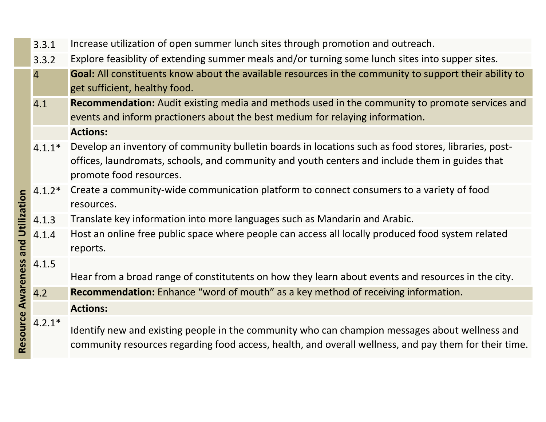|                    | 3.3.1          | Increase utilization of open summer lunch sites through promotion and outreach.                                                                                                                                                   |
|--------------------|----------------|-----------------------------------------------------------------------------------------------------------------------------------------------------------------------------------------------------------------------------------|
|                    | 3.3.2          | Explore feasiblity of extending summer meals and/or turning some lunch sites into supper sites.                                                                                                                                   |
|                    | $\overline{4}$ | Goal: All constituents know about the available resources in the community to support their ability to                                                                                                                            |
|                    |                | get sufficient, healthy food.                                                                                                                                                                                                     |
|                    | 4.1            | Recommendation: Audit existing media and methods used in the community to promote services and                                                                                                                                    |
|                    |                | events and inform practioners about the best medium for relaying information.                                                                                                                                                     |
| and Utilization    |                | <b>Actions:</b>                                                                                                                                                                                                                   |
|                    | $4.1.1*$       | Develop an inventory of community bulletin boards in locations such as food stores, libraries, post-<br>offices, laundromats, schools, and community and youth centers and include them in guides that<br>promote food resources. |
|                    | $4.1.2*$       | Create a community-wide communication platform to connect consumers to a variety of food<br>resources.                                                                                                                            |
|                    | 4.1.3          | Translate key information into more languages such as Mandarin and Arabic.                                                                                                                                                        |
|                    | 4.1.4          | Host an online free public space where people can access all locally produced food system related<br>reports.                                                                                                                     |
|                    | 4.1.5          | Hear from a broad range of constitutents on how they learn about events and resources in the city.                                                                                                                                |
|                    | 4.2            | <b>Recommendation:</b> Enhance "word of mouth" as a key method of receiving information.                                                                                                                                          |
|                    |                | <b>Actions:</b>                                                                                                                                                                                                                   |
| Resource Awareness | $4.2.1*$       | Identify new and existing people in the community who can champion messages about wellness and<br>community resources regarding food access, health, and overall wellness, and pay them for their time.                           |
|                    |                |                                                                                                                                                                                                                                   |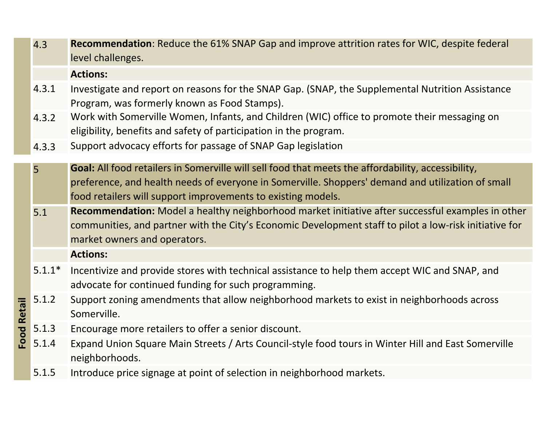4.3 **Recommendation**: Reduce the 61% SNAP Gap and improve attrition rates for WIC, despite federal level challenges.

## **Actions:**

- 4.3.1 Investigate and report on reasons for the SNAP Gap. (SNAP, the Supplemental Nutrition Assistance Program, was formerly known as Food Stamps).
- 4.3.2 Work with Somerville Women, Infants, and Children (WIC) office to promote their messaging on eligibility, benefits and safety of participation in the program.
- 4.3.3Support advocacy efforts for passage of SNAP Gap legislation
- 5 **Goal:** All food retailers in Somerville will sell food that meets the affordability, accessibility, preference, and health needs of everyone in Somerville. Shoppers' demand and utilization of small food retailers will support improvements to existing models.
- 5.1 **Recommendation:** Model <sup>a</sup> healthy neighborhood market initiative after successful examples in other communities, and partner with the City's Economic Development staff to pilot <sup>a</sup> low‐risk initiative for market owners and operators.
	- **Actions:**
- 5.1.1\* Incentivize and provide stores with technical assistance to help them accept WIC and SNAP, and advocate for continued funding for such programming.
- 5.1.2 Support zoning amendments that allow neighborhood markets to exist in neighborhoods across **Food Retail Food Retail**Somerville.
- 5.1.3Encourage more retailers to offer <sup>a</sup> senior discount.
- 5.1.4 Expand Union Square Main Streets / Arts Council‐style food tours in Winter Hill and East Somerville neighborhoods.
	- 5.1.5Introduce price signage at point of selection in neighborhood markets.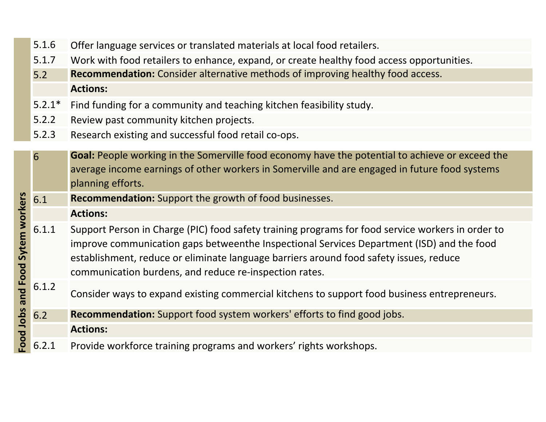- 5.1.6Offer language services or translated materials at local food retailers.
- 5.1.7Work with food retailers to enhance, expand, or create healthy food access opportunities.
- 5.2 **Recommendation:** Consider alternative methods of improving healthy food access. **Actions:**
- 5.2.1\*Find funding for <sup>a</sup> community and teaching kitchen feasibility study.
- 5.2.2Review past community kitchen projects.
- 5.2.3Research existing and successful food retail co‐ops.

| Sytem workers<br><b>Food</b><br>bue | 6     | Goal: People working in the Somerville food economy have the potential to achieve or exceed the<br>average income earnings of other workers in Somerville and are engaged in future food systems<br>planning efforts.                                                                                                                              |
|-------------------------------------|-------|----------------------------------------------------------------------------------------------------------------------------------------------------------------------------------------------------------------------------------------------------------------------------------------------------------------------------------------------------|
|                                     | 6.1   | <b>Recommendation:</b> Support the growth of food businesses.                                                                                                                                                                                                                                                                                      |
|                                     |       | <b>Actions:</b>                                                                                                                                                                                                                                                                                                                                    |
|                                     | 6.1.1 | Support Person in Charge (PIC) food safety training programs for food service workers in order to<br>improve communication gaps betweenthe Inspectional Services Department (ISD) and the food<br>establishment, reduce or eliminate language barriers around food safety issues, reduce<br>communication burdens, and reduce re-inspection rates. |
|                                     | 6.1.2 | Consider ways to expand existing commercial kitchens to support food business entrepreneurs.                                                                                                                                                                                                                                                       |
|                                     | 6.2   | <b>Recommendation:</b> Support food system workers' efforts to find good jobs.                                                                                                                                                                                                                                                                     |
| Food Jobs                           |       | <b>Actions:</b>                                                                                                                                                                                                                                                                                                                                    |
|                                     | 6.2.1 | Provide workforce training programs and workers' rights workshops.                                                                                                                                                                                                                                                                                 |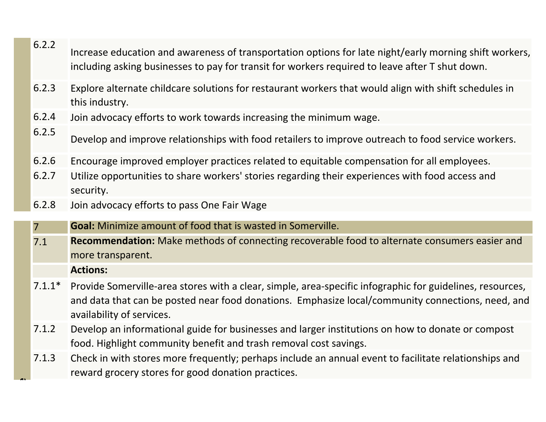- 6.2.2Increase education and awareness of transportation options for late night/early morning shift workers, including asking businesses to pay for transit for workers required to leave after T shut down.
- 6.2.3 Explore alternate childcare solutions for restaurant workers that would align with shift schedules in this industry.
- 6.2.4Join advocacy efforts to work towards increasing the minimum wage.
- 6.2.5Develop and improve relationships with food retailers to improve outreach to food service workers.
- 6.2.6Encourage improved employer practices related to equitable compensation for all employees.
- 6.2.7 Utilize opportunities to share workers' stories regarding their experiences with food access and security.
- 6.2.8Join advocacy efforts to pass One Fair Wage
- 7**Goal:** Minimize amount of food that is wasted in Somerville.
- 7.1 **Recommendation:** Make methods of connecting recoverable food to alternate consumers easier and more transparent.
	- **Actions:**

**e**

- 7.1.1\* Provide Somerville‐area stores with <sup>a</sup> clear, simple, area‐specific infographic for guidelines, resources, and data that can be posted near food donations. Emphasize local/community connections, need, and availability of services.
- 7.1.2 Develop an informational guide for businesses and larger institutions on how to donate or compost food. Highlight community benefit and trash removal cost savings.
- 7.1.3 Check in with stores more frequently; perhaps include an annual event to facilitate relationships and reward grocery stores for good donation practices.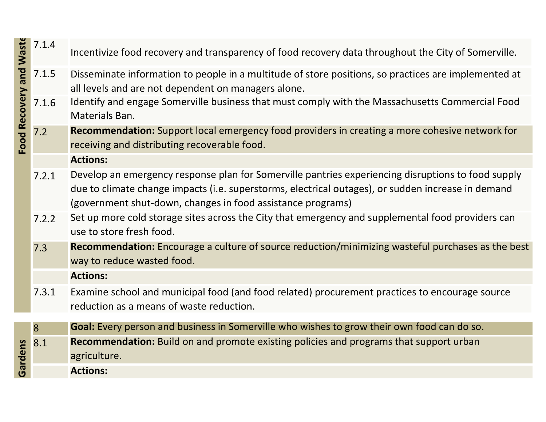|                         | 7.1.4 | Incentivize food recovery and transparency of food recovery data throughout the City of Somerville.                                                                                                                                                                     |
|-------------------------|-------|-------------------------------------------------------------------------------------------------------------------------------------------------------------------------------------------------------------------------------------------------------------------------|
| Food Recovery and Waste | 7.1.5 | Disseminate information to people in a multitude of store positions, so practices are implemented at<br>all levels and are not dependent on managers alone.                                                                                                             |
|                         | 7.1.6 | Identify and engage Somerville business that must comply with the Massachusetts Commercial Food<br>Materials Ban.                                                                                                                                                       |
|                         | 7.2   | <b>Recommendation:</b> Support local emergency food providers in creating a more cohesive network for<br>receiving and distributing recoverable food.                                                                                                                   |
|                         |       | <b>Actions:</b>                                                                                                                                                                                                                                                         |
|                         | 7.2.1 | Develop an emergency response plan for Somerville pantries experiencing disruptions to food supply<br>due to climate change impacts (i.e. superstorms, electrical outages), or sudden increase in demand<br>(government shut-down, changes in food assistance programs) |
|                         | 7.2.2 | Set up more cold storage sites across the City that emergency and supplemental food providers can<br>use to store fresh food.                                                                                                                                           |
|                         | 7.3   | <b>Recommendation:</b> Encourage a culture of source reduction/minimizing wasteful purchases as the best<br>way to reduce wasted food.                                                                                                                                  |
|                         |       | <b>Actions:</b>                                                                                                                                                                                                                                                         |
|                         | 7.3.1 | Examine school and municipal food (and food related) procurement practices to encourage source<br>reduction as a means of waste reduction.                                                                                                                              |
|                         | 8     | Goal: Every person and business in Somerville who wishes to grow their own food can do so.                                                                                                                                                                              |
|                         | 8.1   | <b>Recommendation:</b> Build on and promote existing policies and programs that support urban                                                                                                                                                                           |
| Gardens                 |       | agriculture.                                                                                                                                                                                                                                                            |
|                         |       | <b>Actions:</b>                                                                                                                                                                                                                                                         |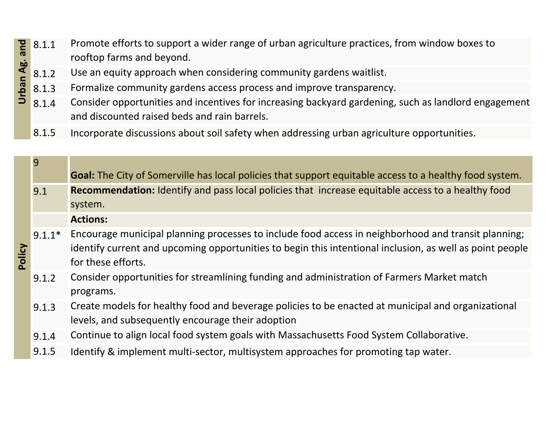- Promote efforts to support <sup>a</sup> wider range of urban agriculture practices, from window boxes to Urban Ag. and 8.1.1rooftop farms and beyond.
- 8.1.2Use an equity approach when considering community gardens waitlist.
- 8.1.3Formalize community gardens access process and improve transparency.
- 8.1.4 Consider opportunities and incentives for increasing backyard gardening, such as landlord engagement and discounted raised beds and rain barrels.
	- 8.1.5Incorporate discussions about soil safety when addressing urban agriculture opportunities.

| pue       | 8.1.1    | Promote efforts to support a wider range of urban agriculture practices, from window boxes to<br>rooftop farms and beyond.                                                                                                            |
|-----------|----------|---------------------------------------------------------------------------------------------------------------------------------------------------------------------------------------------------------------------------------------|
| Urban Ag. | 8.1.2    | Use an equity approach when considering community gardens waitlist.                                                                                                                                                                   |
|           | 8.1.3    | Formalize community gardens access process and improve transparency.                                                                                                                                                                  |
|           | 8.1.4    | Consider opportunities and incentives for increasing backyard gardening, such as landlord engagement<br>and discounted raised beds and rain barrels.                                                                                  |
|           | 8.1.5    | Incorporate discussions about soil safety when addressing urban agriculture opportunities.                                                                                                                                            |
|           |          |                                                                                                                                                                                                                                       |
|           | 9        | <b>Goal:</b> The City of Somerville has local policies that support equitable access to a healthy food system.                                                                                                                        |
|           | 9.1      | Recommendation: Identify and pass local policies that increase equitable access to a healthy food<br>system.                                                                                                                          |
|           |          | <b>Actions:</b>                                                                                                                                                                                                                       |
| Policy    | $9.1.1*$ | Encourage municipal planning processes to include food access in neighborhood and transit planning;<br>identify current and upcoming opportunities to begin this intentional inclusion, as well as point people<br>for these efforts. |
|           | 9.1.2    | Consider opportunities for streamlining funding and administration of Farmers Market match<br>programs.                                                                                                                               |
|           | 9.1.3    | Create models for healthy food and beverage policies to be enacted at municipal and organizational<br>levels, and subsequently encourage their adoption                                                                               |
|           | 9.1.4    | Continue to align local food system goals with Massachusetts Food System Collaborative.                                                                                                                                               |
|           | 9.1.5    | Identify & implement multi-sector, multisystem approaches for promoting tap water.                                                                                                                                                    |
|           |          |                                                                                                                                                                                                                                       |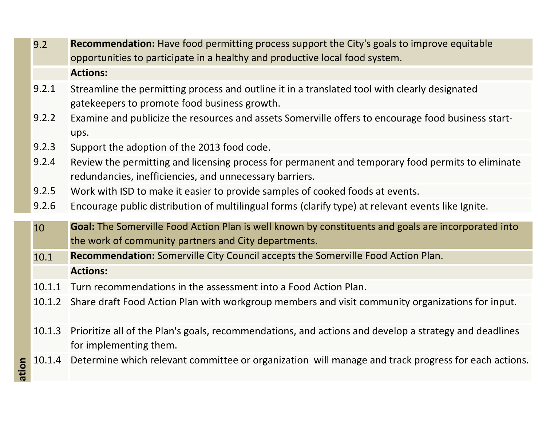| ation | 10.1.2<br>10.1.3<br>10.1.4 | Share draft Food Action Plan with workgroup members and visit community organizations for input.<br>Prioritize all of the Plan's goals, recommendations, and actions and develop a strategy and deadlines<br>for implementing them.<br>Determine which relevant committee or organization will manage and track progress for each actions. |
|-------|----------------------------|--------------------------------------------------------------------------------------------------------------------------------------------------------------------------------------------------------------------------------------------------------------------------------------------------------------------------------------------|
|       |                            |                                                                                                                                                                                                                                                                                                                                            |
|       |                            |                                                                                                                                                                                                                                                                                                                                            |
|       |                            |                                                                                                                                                                                                                                                                                                                                            |
|       | 10.1.1                     | Turn recommendations in the assessment into a Food Action Plan.                                                                                                                                                                                                                                                                            |
|       |                            | <b>Actions:</b>                                                                                                                                                                                                                                                                                                                            |
|       | 10.1                       | <b>Recommendation:</b> Somerville City Council accepts the Somerville Food Action Plan.                                                                                                                                                                                                                                                    |
|       | 10                         | Goal: The Somerville Food Action Plan is well known by constituents and goals are incorporated into<br>the work of community partners and City departments.                                                                                                                                                                                |
|       |                            |                                                                                                                                                                                                                                                                                                                                            |
|       | 9.2.6                      | Work with ISD to make it easier to provide samples of cooked foods at events.<br>Encourage public distribution of multilingual forms (clarify type) at relevant events like Ignite.                                                                                                                                                        |
|       | 9.2.5                      | redundancies, inefficiencies, and unnecessary barriers.                                                                                                                                                                                                                                                                                    |
|       | 9.2.4                      | Review the permitting and licensing process for permanent and temporary food permits to eliminate                                                                                                                                                                                                                                          |
|       | 9.2.3                      | Support the adoption of the 2013 food code.                                                                                                                                                                                                                                                                                                |
|       | 9.2.2                      | Examine and publicize the resources and assets Somerville offers to encourage food business start-<br>ups.                                                                                                                                                                                                                                 |
|       | 9.2.1                      | Streamline the permitting process and outline it in a translated tool with clearly designated<br>gatekeepers to promote food business growth.                                                                                                                                                                                              |
|       |                            | <b>Actions:</b>                                                                                                                                                                                                                                                                                                                            |
|       | 9.2                        | opportunities to participate in a healthy and productive local food system.                                                                                                                                                                                                                                                                |
|       |                            | <b>Recommendation:</b> Have food permitting process support the City's goals to improve equitable                                                                                                                                                                                                                                          |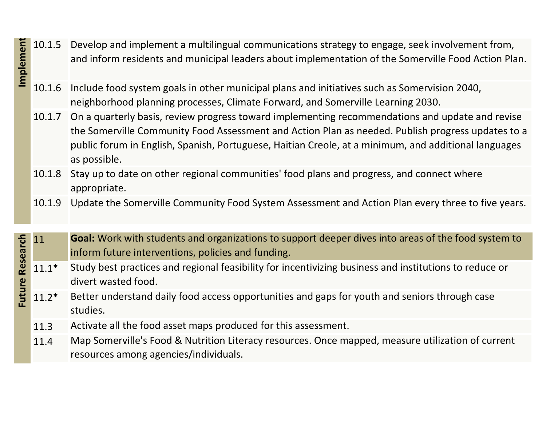- 10.1.5 Develop and implement <sup>a</sup> multilingual communications strategy to engage, seek involvement from, and inform residents and municipal leaders about implementation of the Somerville Food Action Plan. **Implement** 
	- 10.1.6 Include food system goals in other municipal plans and initiatives such as Somervision 2040, neighborhood planning processes, Climate Forward, and Somerville Learning 2030.
	- 10.1.7 On <sup>a</sup> quarterly basis, review progress toward implementing recommendations and update and revise the Somerville Community Food Assessment and Action Plan as needed. Publish progress updates to <sup>a</sup> public forum in English, Spanish, Portuguese, Haitian Creole, at <sup>a</sup> minimum, and additional languages as possible.
	- 10.1.8 Stay up to date on other regional communities' food plans and progress, and connect where appropriate.
	- 10.1.9 Update the Somerville Community Food System Assessment and Action Plan every three to five years.
	- 11 **Goal:** Work with students and organizations to support deeper dives into areas of the food system to inform future interventions, policies and funding.
- **Future Research Implemen** Future Research Study best practices and regional feasibility for incentivizing business and institutions to reduce or 11.1\*divert wasted food.
- 11.2\* Better understand daily food access opportunities and gaps for youth and seniors through case studies.
	- 11.3Activate all the food asset maps produced for this assessment.
	- 11.4 Map Somerville's Food & Nutrition Literacy resources. Once mapped, measure utilization of current resources among agencies/individuals.